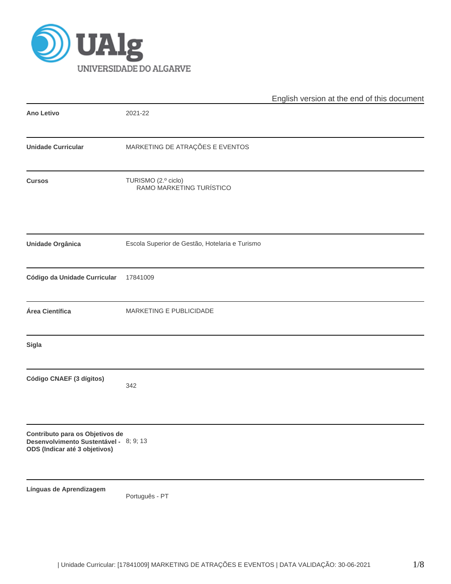

|                                                                                                            |                                                 | English version at the end of this document |
|------------------------------------------------------------------------------------------------------------|-------------------------------------------------|---------------------------------------------|
| <b>Ano Letivo</b>                                                                                          | 2021-22                                         |                                             |
| <b>Unidade Curricular</b>                                                                                  | MARKETING DE ATRAÇÕES E EVENTOS                 |                                             |
| <b>Cursos</b>                                                                                              | TURISMO (2.º ciclo)<br>RAMO MARKETING TURÍSTICO |                                             |
| Unidade Orgânica                                                                                           | Escola Superior de Gestão, Hotelaria e Turismo  |                                             |
| Código da Unidade Curricular                                                                               | 17841009                                        |                                             |
| Área Científica                                                                                            | MARKETING E PUBLICIDADE                         |                                             |
| Sigla                                                                                                      |                                                 |                                             |
| Código CNAEF (3 dígitos)                                                                                   | 342                                             |                                             |
| Contributo para os Objetivos de<br>Desenvolvimento Sustentável - 8; 9; 13<br>ODS (Indicar até 3 objetivos) |                                                 |                                             |
| Línguas de Aprendizagem                                                                                    | Português - PT                                  |                                             |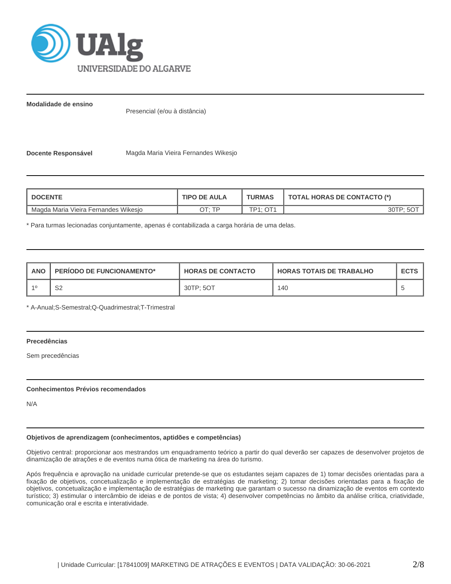

**Modalidade de ensino**

Presencial (e/ou à distância)

**Docente Responsável Magda Maria Vieira Fernandes Wikesjo** 

| <b>I DOCENTE</b>                     | <b>TIPO DE AULA</b> | <b>TURMAS</b>         | <b>TOTAL HORAS DE CONTACTO (*)</b> |  |  |
|--------------------------------------|---------------------|-----------------------|------------------------------------|--|--|
| Magda Maria Vieira Fernandes Wikesjo | סד ּידר             | $TD4 \cdot \bigcap 4$ | 30TP: 5OT                          |  |  |

\* Para turmas lecionadas conjuntamente, apenas é contabilizada a carga horária de uma delas.

| <b>ANO</b> | <b>PERIODO DE FUNCIONAMENTO*</b> | <b>HORAS DE CONTACTO</b> | <b>HORAS TOTAIS DE TRABALHO</b> | <b>ECTS</b> |
|------------|----------------------------------|--------------------------|---------------------------------|-------------|
| $-40$      | r o<br>ےت                        | 30TP: 5OT                | 140                             |             |

\* A-Anual;S-Semestral;Q-Quadrimestral;T-Trimestral

# **Precedências**

Sem precedências

#### **Conhecimentos Prévios recomendados**

N/A

#### **Objetivos de aprendizagem (conhecimentos, aptidões e competências)**

Objetivo central: proporcionar aos mestrandos um enquadramento teórico a partir do qual deverão ser capazes de desenvolver projetos de dinamização de atrações e de eventos numa ótica de marketing na área do turismo.

Após frequência e aprovação na unidade curricular pretende-se que os estudantes sejam capazes de 1) tomar decisões orientadas para a fixação de objetivos, concetualização e implementação de estratégias de marketing; 2) tomar decisões orientadas para a fixação de objetivos, concetualização e implementação de estratégias de marketing que garantam o sucesso na dinamização de eventos em contexto turístico; 3) estimular o intercâmbio de ideias e de pontos de vista; 4) desenvolver competências no âmbito da análise crítica, criatividade, comunicação oral e escrita e interatividade.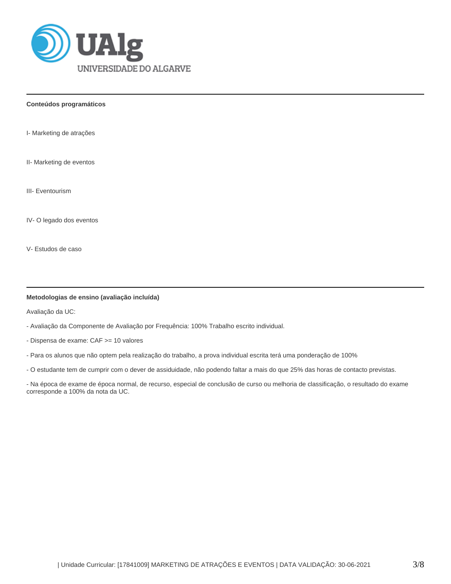

**Conteúdos programáticos**

I- Marketing de atrações

II- Marketing de eventos

III- Eventourism

IV- O legado dos eventos

V- Estudos de caso

#### **Metodologias de ensino (avaliação incluída)**

Avaliação da UC:

- Avaliação da Componente de Avaliação por Frequência: 100% Trabalho escrito individual.

- Dispensa de exame: CAF >= 10 valores

- Para os alunos que não optem pela realização do trabalho, a prova individual escrita terá uma ponderação de 100%

- O estudante tem de cumprir com o dever de assiduidade, não podendo faltar a mais do que 25% das horas de contacto previstas.

- Na época de exame de época normal, de recurso, especial de conclusão de curso ou melhoria de classificação, o resultado do exame corresponde a 100% da nota da UC.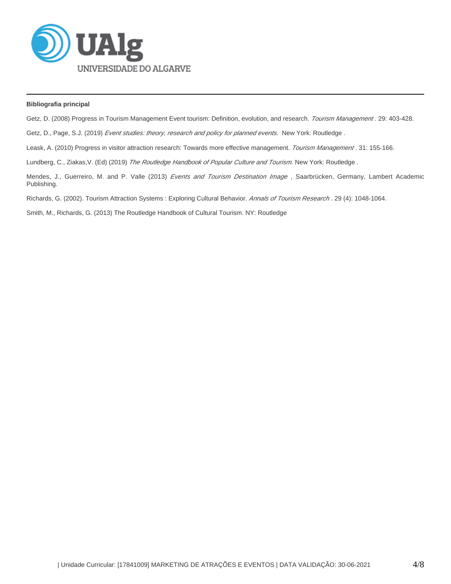

### **Bibliografia principal**

Getz, D. (2008) Progress in Tourism Management Event tourism: Definition, evolution, and research. Tourism Management. 29: 403-428.

Getz, D., Page, S.J. (2019) Event studies: theory, research and policy for planned events. New York: Routledge.

Leask, A. (2010) Progress in visitor attraction research: Towards more effective management. Tourism Management. 31: 155-166.

Lundberg, C., Ziakas, V. (Ed) (2019) The Routledge Handbook of Popular Culture and Tourism. New York: Routledge.

Mendes, J., Guerreiro, M. and P. Valle (2013) Events and Tourism Destination Image, Saarbrücken, Germany, Lambert Academic Publishing.

Richards, G. (2002). Tourism Attraction Systems : Exploring Cultural Behavior. Annals of Tourism Research . 29 (4): 1048-1064.

Smith, M., Richards, G. (2013) The Routledge Handbook of Cultural Tourism. NY: Routledge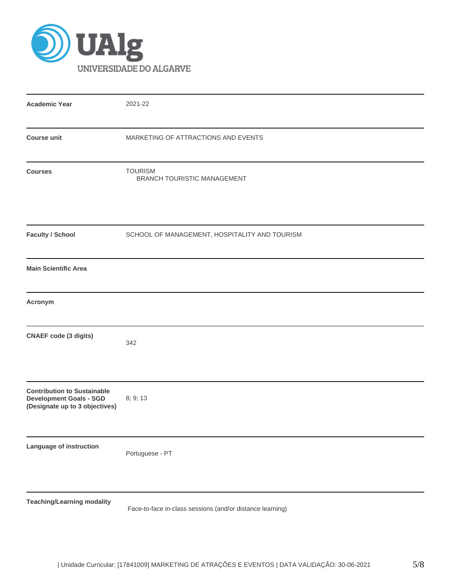

| <b>Academic Year</b>                                                                                   | 2021-22                                                   |
|--------------------------------------------------------------------------------------------------------|-----------------------------------------------------------|
| <b>Course unit</b>                                                                                     | MARKETING OF ATTRACTIONS AND EVENTS                       |
| <b>Courses</b>                                                                                         | <b>TOURISM</b><br>BRANCH TOURISTIC MANAGEMENT             |
| <b>Faculty / School</b>                                                                                | SCHOOL OF MANAGEMENT, HOSPITALITY AND TOURISM             |
| <b>Main Scientific Area</b>                                                                            |                                                           |
| Acronym                                                                                                |                                                           |
| <b>CNAEF code (3 digits)</b>                                                                           | 342                                                       |
| <b>Contribution to Sustainable</b><br><b>Development Goals - SGD</b><br>(Designate up to 3 objectives) | 8; 9; 13                                                  |
| <b>Language of instruction</b>                                                                         | Portuguese - PT                                           |
| <b>Teaching/Learning modality</b>                                                                      | Face-to-face in-class sessions (and/or distance learning) |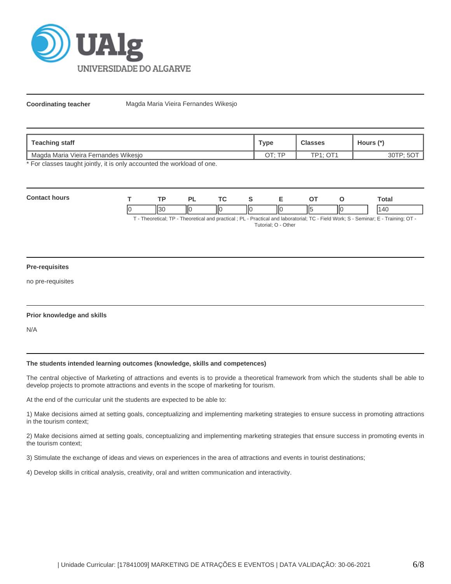

**Coordinating teacher** Magda Maria Vieira Fernandes Wikesjo

| <b>Teaching staff</b>                |        | <b>Classes</b>   | Hours (*) |  |
|--------------------------------------|--------|------------------|-----------|--|
| Magda Maria Vieira Fernandes Wikesjo | חד ידר | $TP1:$ $\cap$ T1 |           |  |

\* For classes taught jointly, it is only accounted the workload of one.

| Cont |    | TD. |    | <u>те</u> |    |   |      | otal      |
|------|----|-----|----|-----------|----|---|------|-----------|
|      | IC |     | ΠС | IЮ<br>I   | ШC | ⋯ | -lic | $\Lambda$ |

T - Theoretical; TP - Theoretical and practical ; PL - Practical and laboratorial; TC - Field Work; S - Seminar; E - Training; OT - Tutorial; O - Other

#### **Pre-requisites**

no pre-requisites

## **Prior knowledge and skills**

N/A

#### **The students intended learning outcomes (knowledge, skills and competences)**

The central objective of Marketing of attractions and events is to provide a theoretical framework from which the students shall be able to develop projects to promote attractions and events in the scope of marketing for tourism.

At the end of the curricular unit the students are expected to be able to:

1) Make decisions aimed at setting goals, conceptualizing and implementing marketing strategies to ensure success in promoting attractions in the tourism context;

2) Make decisions aimed at setting goals, conceptualizing and implementing marketing strategies that ensure success in promoting events in the tourism context;

3) Stimulate the exchange of ideas and views on experiences in the area of attractions and events in tourist destinations;

4) Develop skills in critical analysis, creativity, oral and written communication and interactivity.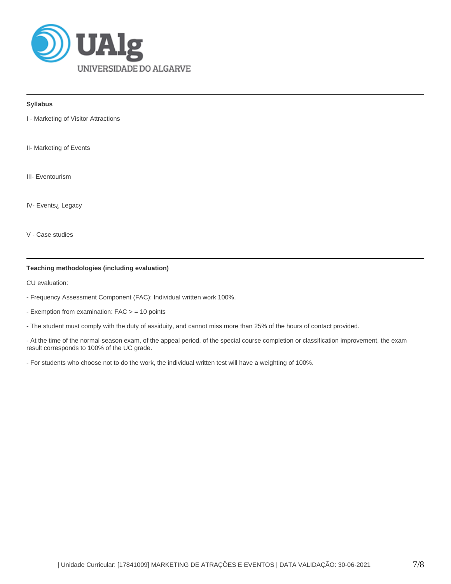

## **Syllabus**

I - Marketing of Visitor Attractions

II- Marketing of Events

III- Eventourism

IV- Events¿ Legacy

V - Case studies

# **Teaching methodologies (including evaluation)**

CU evaluation:

- Frequency Assessment Component (FAC): Individual written work 100%.
- Exemption from examination: FAC > = 10 points
- The student must comply with the duty of assiduity, and cannot miss more than 25% of the hours of contact provided.

- At the time of the normal-season exam, of the appeal period, of the special course completion or classification improvement, the exam result corresponds to 100% of the UC grade.

- For students who choose not to do the work, the individual written test will have a weighting of 100%.